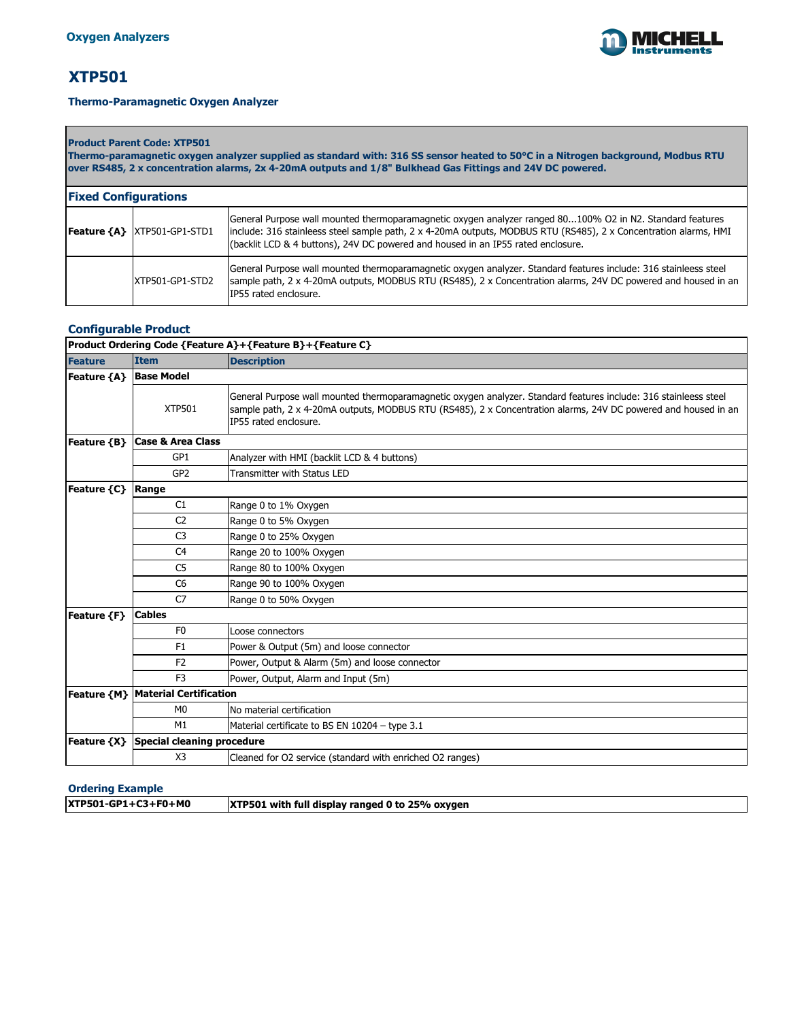

# **XTP501**

#### **Thermo-Paramagnetic Oxygen Analyzer**

**Product Parent Code: XTP501 Thermo-paramagnetic oxygen analyzer supplied as standard with: 316 SS sensor heated to 50°C in a Nitrogen background, Modbus RTU over RS485, 2 x concentration alarms, 2x 4-20mA outputs and 1/8" Bulkhead Gas Fittings and 24V DC powered.** 

| <b>Fixed Configurations</b>         |                                                                                                                                                                                                                                                                                                                   |  |
|-------------------------------------|-------------------------------------------------------------------------------------------------------------------------------------------------------------------------------------------------------------------------------------------------------------------------------------------------------------------|--|
| <b>Feature {A}  XTP501-GP1-STD1</b> | General Purpose wall mounted thermoparamagnetic oxygen analyzer ranged 80100% O2 in N2. Standard features<br>include: 316 stainleess steel sample path, 2 x 4-20mA outputs, MODBUS RTU (RS485), 2 x Concentration alarms, HMI<br>(backlit LCD & 4 buttons), 24V DC powered and housed in an IP55 rated enclosure. |  |
| IXTP501-GP1-STD2                    | General Purpose wall mounted thermoparamagnetic oxygen analyzer. Standard features include: 316 stainleess steel<br>sample path, 2 x 4-20mA outputs, MODBUS RTU (RS485), 2 x Concentration alarms, 24V DC powered and housed in an<br>IP55 rated enclosure.                                                       |  |

### **Configurable Product**

|                | Product Ordering Code {Feature A}+{Feature B}+{Feature C} |                                                                                                                                                                                                                                                             |  |  |
|----------------|-----------------------------------------------------------|-------------------------------------------------------------------------------------------------------------------------------------------------------------------------------------------------------------------------------------------------------------|--|--|
| <b>Feature</b> | <b>Item</b>                                               | <b>Description</b>                                                                                                                                                                                                                                          |  |  |
| Feature {A}    | <b>Base Model</b>                                         |                                                                                                                                                                                                                                                             |  |  |
|                | <b>XTP501</b>                                             | General Purpose wall mounted thermoparamagnetic oxygen analyzer. Standard features include: 316 stainleess steel<br>sample path, 2 x 4-20mA outputs, MODBUS RTU (RS485), 2 x Concentration alarms, 24V DC powered and housed in an<br>IP55 rated enclosure. |  |  |
| Feature {B}    | <b>Case &amp; Area Class</b>                              |                                                                                                                                                                                                                                                             |  |  |
|                | GP1                                                       | Analyzer with HMI (backlit LCD & 4 buttons)                                                                                                                                                                                                                 |  |  |
|                | GP <sub>2</sub>                                           | Transmitter with Status LED                                                                                                                                                                                                                                 |  |  |
| Feature {C}    | Range                                                     |                                                                                                                                                                                                                                                             |  |  |
|                | C1                                                        | Range 0 to 1% Oxygen                                                                                                                                                                                                                                        |  |  |
|                | C <sub>2</sub>                                            | Range 0 to 5% Oxygen                                                                                                                                                                                                                                        |  |  |
|                | C <sub>3</sub>                                            | Range 0 to 25% Oxygen                                                                                                                                                                                                                                       |  |  |
|                | C <sub>4</sub>                                            | Range 20 to 100% Oxygen                                                                                                                                                                                                                                     |  |  |
|                | C <sub>5</sub>                                            | Range 80 to 100% Oxygen                                                                                                                                                                                                                                     |  |  |
|                | C <sub>6</sub>                                            | Range 90 to 100% Oxygen                                                                                                                                                                                                                                     |  |  |
|                | C <sub>7</sub>                                            | Range 0 to 50% Oxygen                                                                                                                                                                                                                                       |  |  |
| Feature {F}    | <b>Cables</b>                                             |                                                                                                                                                                                                                                                             |  |  |
|                | F <sub>0</sub>                                            | Loose connectors                                                                                                                                                                                                                                            |  |  |
|                | F <sub>1</sub>                                            | Power & Output (5m) and loose connector                                                                                                                                                                                                                     |  |  |
|                | F <sub>2</sub>                                            | Power, Output & Alarm (5m) and loose connector                                                                                                                                                                                                              |  |  |
|                | F <sub>3</sub>                                            | Power, Output, Alarm and Input (5m)                                                                                                                                                                                                                         |  |  |
|                | <b>Feature {M}   Material Certification</b>               |                                                                                                                                                                                                                                                             |  |  |
|                | M <sub>0</sub>                                            | No material certification                                                                                                                                                                                                                                   |  |  |
|                | M1                                                        | Material certificate to BS EN 10204 - type 3.1                                                                                                                                                                                                              |  |  |
| Feature {X}    | <b>Special cleaning procedure</b>                         |                                                                                                                                                                                                                                                             |  |  |
|                | X3                                                        | Cleaned for O2 service (standard with enriched O2 ranges)                                                                                                                                                                                                   |  |  |

| <b>XTP501-GP1+C3+F0+M0</b> | <b>XTP501</b> with full display ranged 0 to 25% oxygen |
|----------------------------|--------------------------------------------------------|
|                            |                                                        |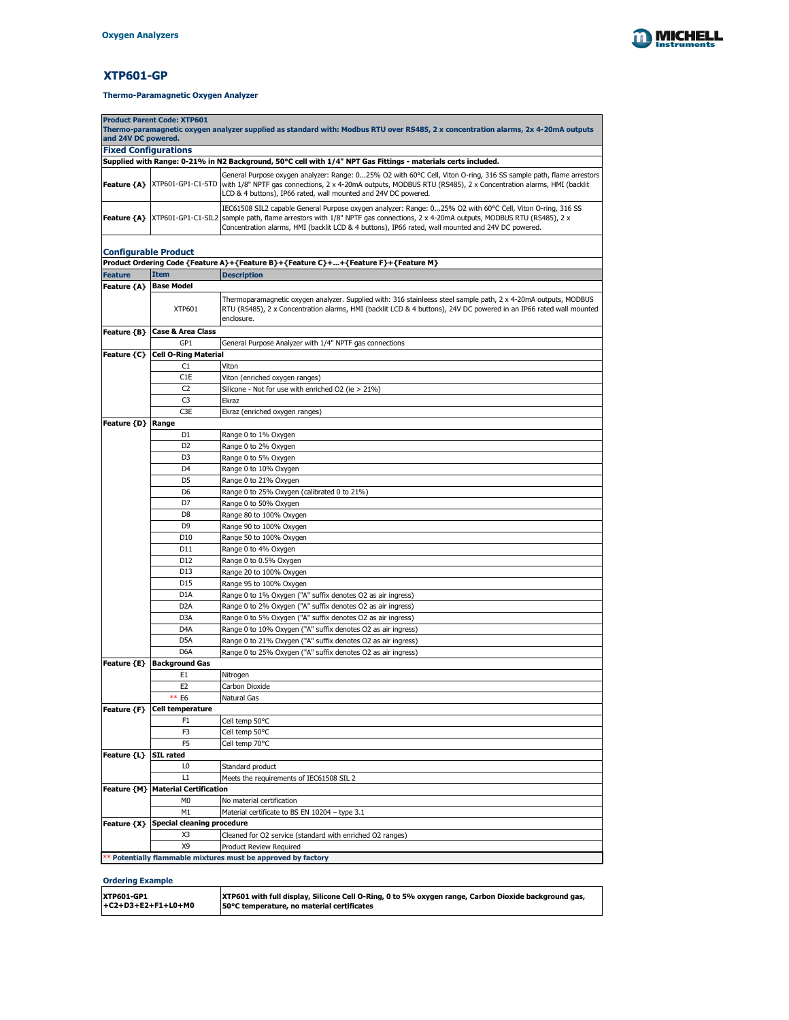

# **XTP601-GP**

| <b>Product Parent Code: XTP601</b>                                                                                                                       |                                   |                                                                                                                                                                                                                                                                                                                                                                   |  |  |
|----------------------------------------------------------------------------------------------------------------------------------------------------------|-----------------------------------|-------------------------------------------------------------------------------------------------------------------------------------------------------------------------------------------------------------------------------------------------------------------------------------------------------------------------------------------------------------------|--|--|
| Thermo-paramagnetic oxygen analyzer supplied as standard with: Modbus RTU over RS485, 2 x concentration alarms, 2x 4-20mA outputs<br>and 24V DC powered. |                                   |                                                                                                                                                                                                                                                                                                                                                                   |  |  |
| <b>Fixed Configurations</b>                                                                                                                              |                                   |                                                                                                                                                                                                                                                                                                                                                                   |  |  |
|                                                                                                                                                          |                                   | Supplied with Range: 0-21% in N2 Background, 50°C cell with 1/4" NPT Gas Fittings - materials certs included.                                                                                                                                                                                                                                                     |  |  |
|                                                                                                                                                          |                                   | General Purpose oxygen analyzer: Range: 025% O2 with 60°C Cell, Viton O-ring, 316 SS sample path, flame arrestors<br><b>Feature {A}</b> XTP601-GP1-C1-STD with 1/8" NPTF gas connections, 2 x 4-20mA outputs, MODBUS RTU (RS485), 2 x Concentration alarms, HMI (backlit<br>LCD & 4 buttons), IP66 rated, wall mounted and 24V DC powered.                        |  |  |
|                                                                                                                                                          |                                   | IEC61508 SIL2 capable General Purpose oxygen analyzer: Range: 025% O2 with 60°C Cell, Viton O-ring, 316 SS<br><b>Feature {A}</b> XTP601-GP1-C1-SIL2 sample path, flame arrestors with 1/8" NPTF gas connections, 2 x 4-20mA outputs, MODBUS RTU (RS485), 2 x<br>Concentration alarms, HMI (backlit LCD & 4 buttons), IP66 rated, wall mounted and 24V DC powered. |  |  |
| <b>Configurable Product</b>                                                                                                                              |                                   |                                                                                                                                                                                                                                                                                                                                                                   |  |  |
|                                                                                                                                                          |                                   | Product Ordering Code {Feature A}+{Feature B}+{Feature C}++{Feature F}+{Feature M}                                                                                                                                                                                                                                                                                |  |  |
| <b>Feature</b>                                                                                                                                           | <b>Item</b>                       | <b>Description</b>                                                                                                                                                                                                                                                                                                                                                |  |  |
| Feature ${A}$                                                                                                                                            | <b>Base Model</b>                 |                                                                                                                                                                                                                                                                                                                                                                   |  |  |
|                                                                                                                                                          | <b>XTP601</b>                     | Thermoparamagnetic oxygen analyzer. Supplied with: 316 stainleess steel sample path, 2 x 4-20mA outputs, MODBUS<br>RTU (RS485), 2 x Concentration alarms, HMI (backlit LCD & 4 buttons), 24V DC powered in an IP66 rated wall mounted<br>enclosure.                                                                                                               |  |  |
| Feature {B}                                                                                                                                              | <b>Case &amp; Area Class</b>      |                                                                                                                                                                                                                                                                                                                                                                   |  |  |
|                                                                                                                                                          | GP1                               | General Purpose Analyzer with 1/4" NPTF gas connections                                                                                                                                                                                                                                                                                                           |  |  |
| Feature {C}                                                                                                                                              | <b>Cell O-Ring Material</b>       |                                                                                                                                                                                                                                                                                                                                                                   |  |  |
|                                                                                                                                                          | C1                                | Viton                                                                                                                                                                                                                                                                                                                                                             |  |  |
|                                                                                                                                                          | C1E                               | Viton (enriched oxygen ranges)                                                                                                                                                                                                                                                                                                                                    |  |  |
|                                                                                                                                                          | C <sub>2</sub>                    | Silicone - Not for use with enriched O2 (ie $> 21\%$ )                                                                                                                                                                                                                                                                                                            |  |  |
|                                                                                                                                                          | C <sub>3</sub>                    | Ekraz                                                                                                                                                                                                                                                                                                                                                             |  |  |
|                                                                                                                                                          | C <sub>3</sub> E                  | Ekraz (enriched oxygen ranges)                                                                                                                                                                                                                                                                                                                                    |  |  |
| Feature {D}   Range                                                                                                                                      |                                   |                                                                                                                                                                                                                                                                                                                                                                   |  |  |
|                                                                                                                                                          | D <sub>1</sub>                    | Range 0 to 1% Oxygen                                                                                                                                                                                                                                                                                                                                              |  |  |
|                                                                                                                                                          | D <sub>2</sub>                    |                                                                                                                                                                                                                                                                                                                                                                   |  |  |
|                                                                                                                                                          |                                   | Range 0 to 2% Oxygen                                                                                                                                                                                                                                                                                                                                              |  |  |
|                                                                                                                                                          | D <sub>3</sub>                    | Range 0 to 5% Oxygen                                                                                                                                                                                                                                                                                                                                              |  |  |
|                                                                                                                                                          | D <sub>4</sub>                    | Range 0 to 10% Oxygen                                                                                                                                                                                                                                                                                                                                             |  |  |
|                                                                                                                                                          | D <sub>5</sub>                    | Range 0 to 21% Oxygen                                                                                                                                                                                                                                                                                                                                             |  |  |
|                                                                                                                                                          | D <sub>6</sub>                    | Range 0 to 25% Oxygen (calibrated 0 to 21%)                                                                                                                                                                                                                                                                                                                       |  |  |
|                                                                                                                                                          | D7                                | Range 0 to 50% Oxygen                                                                                                                                                                                                                                                                                                                                             |  |  |
|                                                                                                                                                          | D <sub>8</sub>                    | Range 80 to 100% Oxygen                                                                                                                                                                                                                                                                                                                                           |  |  |
|                                                                                                                                                          | D <sub>9</sub>                    | Range 90 to 100% Oxygen                                                                                                                                                                                                                                                                                                                                           |  |  |
|                                                                                                                                                          | D <sub>10</sub>                   | Range 50 to 100% Oxygen                                                                                                                                                                                                                                                                                                                                           |  |  |
|                                                                                                                                                          | D11                               | Range 0 to 4% Oxygen                                                                                                                                                                                                                                                                                                                                              |  |  |
|                                                                                                                                                          | D <sub>12</sub>                   | Range 0 to 0.5% Oxygen                                                                                                                                                                                                                                                                                                                                            |  |  |
|                                                                                                                                                          | D <sub>13</sub>                   | Range 20 to 100% Oxygen                                                                                                                                                                                                                                                                                                                                           |  |  |
|                                                                                                                                                          | D15                               | Range 95 to 100% Oxygen                                                                                                                                                                                                                                                                                                                                           |  |  |
|                                                                                                                                                          | D <sub>1</sub> A                  | Range 0 to 1% Oxygen ("A" suffix denotes O2 as air ingress)                                                                                                                                                                                                                                                                                                       |  |  |
|                                                                                                                                                          | D <sub>2</sub> A                  | Range 0 to 2% Oxygen ("A" suffix denotes O2 as air ingress)                                                                                                                                                                                                                                                                                                       |  |  |
|                                                                                                                                                          | D <sub>3</sub> A                  | Range 0 to 5% Oxygen ("A" suffix denotes O2 as air ingress)                                                                                                                                                                                                                                                                                                       |  |  |
|                                                                                                                                                          | D <sub>4</sub> A                  | Range 0 to 10% Oxygen ("A" suffix denotes O2 as air ingress)                                                                                                                                                                                                                                                                                                      |  |  |
|                                                                                                                                                          | D <sub>5</sub> A                  | Range 0 to 21% Oxygen ("A" suffix denotes O2 as air ingress)                                                                                                                                                                                                                                                                                                      |  |  |
|                                                                                                                                                          | D <sub>6</sub> A                  | Range 0 to 25% Oxygen ("A" suffix denotes O2 as air ingress)                                                                                                                                                                                                                                                                                                      |  |  |
| Feature {E}                                                                                                                                              | <b>Background Gas</b>             |                                                                                                                                                                                                                                                                                                                                                                   |  |  |
|                                                                                                                                                          | E1                                | Nitrogen                                                                                                                                                                                                                                                                                                                                                          |  |  |
|                                                                                                                                                          | E <sub>2</sub>                    | Carbon Dioxide                                                                                                                                                                                                                                                                                                                                                    |  |  |
|                                                                                                                                                          | ** E6                             | <b>Natural Gas</b>                                                                                                                                                                                                                                                                                                                                                |  |  |
| Feature {F}                                                                                                                                              | Cell temperature                  |                                                                                                                                                                                                                                                                                                                                                                   |  |  |
|                                                                                                                                                          | F <sub>1</sub>                    | Cell temp 50°C                                                                                                                                                                                                                                                                                                                                                    |  |  |
|                                                                                                                                                          | F <sub>3</sub>                    | Cell temp 50°C                                                                                                                                                                                                                                                                                                                                                    |  |  |
|                                                                                                                                                          | F <sub>5</sub>                    | Cell temp 70°C                                                                                                                                                                                                                                                                                                                                                    |  |  |
| Feature {L}                                                                                                                                              | <b>SIL rated</b>                  |                                                                                                                                                                                                                                                                                                                                                                   |  |  |
|                                                                                                                                                          | L <sub>0</sub>                    | Standard product                                                                                                                                                                                                                                                                                                                                                  |  |  |
|                                                                                                                                                          | L1                                | Meets the requirements of IEC61508 SIL 2                                                                                                                                                                                                                                                                                                                          |  |  |
| Feature {M}<br><b>Material Certification</b>                                                                                                             |                                   |                                                                                                                                                                                                                                                                                                                                                                   |  |  |
|                                                                                                                                                          | M <sub>0</sub>                    | No material certification                                                                                                                                                                                                                                                                                                                                         |  |  |
|                                                                                                                                                          | M1                                | Material certificate to BS EN 10204 - type 3.1                                                                                                                                                                                                                                                                                                                    |  |  |
| Feature {X}                                                                                                                                              | <b>Special cleaning procedure</b> |                                                                                                                                                                                                                                                                                                                                                                   |  |  |
|                                                                                                                                                          | X <sub>3</sub>                    | Cleaned for O2 service (standard with enriched O2 ranges)                                                                                                                                                                                                                                                                                                         |  |  |
|                                                                                                                                                          | X9                                | <b>Product Review Required</b>                                                                                                                                                                                                                                                                                                                                    |  |  |
|                                                                                                                                                          |                                   | $\cdot$ * Potentially flammable mixtures must be approved by factory                                                                                                                                                                                                                                                                                              |  |  |

| <b>XTP601-GP1</b>     | XTP601 with full display, Silicone Cell O-Ring, 0 to 5% oxygen range, Carbon Dioxide background gas, |
|-----------------------|------------------------------------------------------------------------------------------------------|
| $ +C2+D3+E2+F1+LO+MO$ | <b>50°C</b> temperature, no material certificates                                                    |

## **Thermo-Paramagnetic Oxygen Analyzer**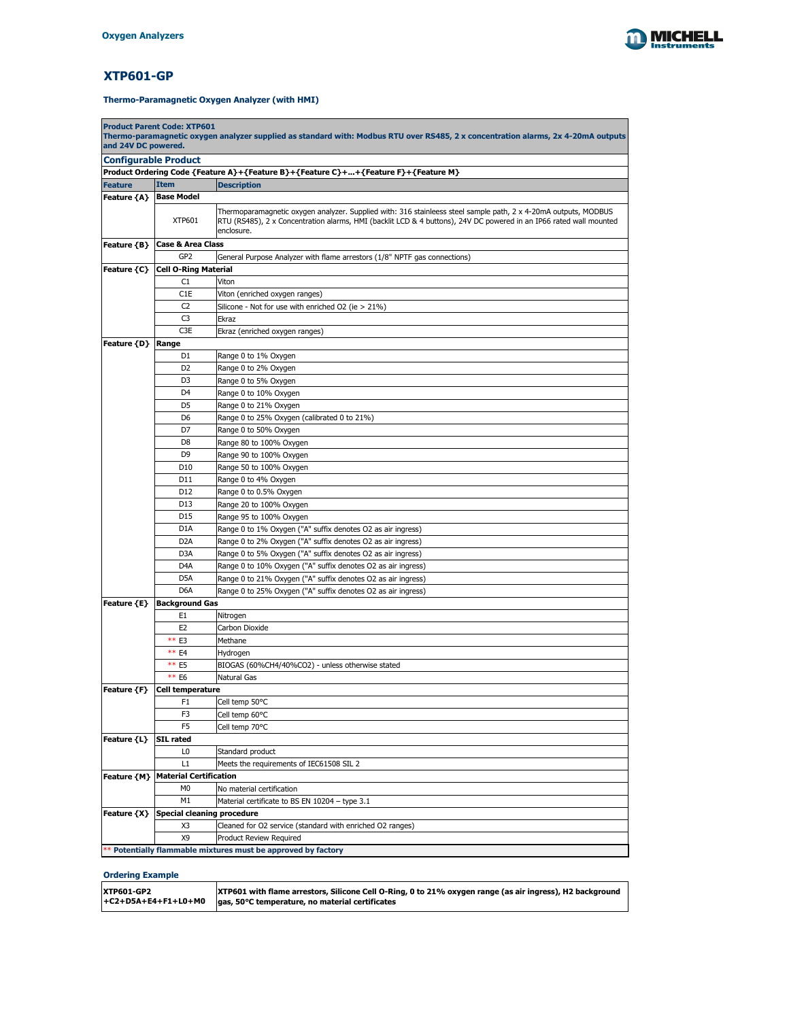

# **XTP601-GP**

| and 24V DC powered.<br><b>Configurable Product</b><br>Product Ordering Code {Feature A}+{Feature B}+{Feature C}++{Feature F}+{Feature M}<br><b>Item</b><br><b>Description</b><br><b>Feature</b><br>Feature {A}   Base Model<br>Thermoparamagnetic oxygen analyzer. Supplied with: 316 stainleess steel sample path, 2 x 4-20mA outputs, MODBUS<br><b>XTP601</b><br>RTU (RS485), 2 x Concentration alarms, HMI (backlit LCD & 4 buttons), 24V DC powered in an IP66 rated wall mounted<br>enclosure.<br>Feature {B}<br><b>Case &amp; Area Class</b><br>GP <sub>2</sub><br>General Purpose Analyzer with flame arrestors (1/8" NPTF gas connections)<br><b>Cell O-Ring Material</b><br><b>Feature {C}</b><br>C1<br>Viton<br>C1E<br>Viton (enriched oxygen ranges)<br>Silicone - Not for use with enriched O2 (ie > 21%)<br>C <sub>2</sub><br>C <sub>3</sub><br><b>Ekraz</b><br>C <sub>3</sub> E<br>Ekraz (enriched oxygen ranges)<br><b>Feature {D}   Range</b><br>D <sub>1</sub><br>Range 0 to 1% Oxygen<br>D <sub>2</sub><br>Range 0 to 2% Oxygen<br>D <sub>3</sub><br>Range 0 to 5% Oxygen<br>D <sub>4</sub><br>Range 0 to 10% Oxygen<br>Range 0 to 21% Oxygen<br>D <sub>5</sub><br>D <sub>6</sub><br>Range 0 to 25% Oxygen (calibrated 0 to 21%)<br>D7<br>Range 0 to 50% Oxygen<br>D <sub>8</sub><br>Range 80 to 100% Oxygen<br>D <sub>9</sub><br>Range 90 to 100% Oxygen<br>D <sub>10</sub><br>Range 50 to 100% Oxygen<br>Range 0 to 4% Oxygen<br>D11<br>Range 0 to 0.5% Oxygen<br>D <sub>12</sub><br>D <sub>13</sub><br>Range 20 to 100% Oxygen<br>D15<br>Range 95 to 100% Oxygen<br>Range 0 to 1% Oxygen ("A" suffix denotes O2 as air ingress)<br>D <sub>1</sub> A<br>Range 0 to 2% Oxygen ("A" suffix denotes O2 as air ingress)<br>D <sub>2</sub> A<br>D <sub>3</sub> A<br>Range 0 to 5% Oxygen ("A" suffix denotes O2 as air ingress)<br>D <sub>4</sub> A<br>Range 0 to 10% Oxygen ("A" suffix denotes O2 as air ingress)<br>Range 0 to 21% Oxygen ("A" suffix denotes O2 as air ingress)<br>D <sub>5</sub> A<br>D <sub>6</sub> A<br>Range 0 to 25% Oxygen ("A" suffix denotes O2 as air ingress)<br><b>Background Gas</b><br><b>Feature {E}</b><br>E <sub>1</sub><br>Nitrogen<br>E2<br>Carbon Dioxide<br>** E3<br>Methane<br>** E4<br>Hydrogen<br>** E5<br>BIOGAS (60%CH4/40%CO2) - unless otherwise stated<br>** E6<br><b>Natural Gas</b><br>Cell temperature<br>Feature {F}<br>F <sub>1</sub><br>Cell temp 50°C<br>F <sub>3</sub><br>Cell temp 60°C<br>F <sub>5</sub><br>Cell temp 70°C<br><b>Feature {L}</b><br><b>SIL rated</b> |  | <b>Product Parent Code: XTP601</b>                                                                                                |  |  |  |  |
|-----------------------------------------------------------------------------------------------------------------------------------------------------------------------------------------------------------------------------------------------------------------------------------------------------------------------------------------------------------------------------------------------------------------------------------------------------------------------------------------------------------------------------------------------------------------------------------------------------------------------------------------------------------------------------------------------------------------------------------------------------------------------------------------------------------------------------------------------------------------------------------------------------------------------------------------------------------------------------------------------------------------------------------------------------------------------------------------------------------------------------------------------------------------------------------------------------------------------------------------------------------------------------------------------------------------------------------------------------------------------------------------------------------------------------------------------------------------------------------------------------------------------------------------------------------------------------------------------------------------------------------------------------------------------------------------------------------------------------------------------------------------------------------------------------------------------------------------------------------------------------------------------------------------------------------------------------------------------------------------------------------------------------------------------------------------------------------------------------------------------------------------------------------------------------------------------------------------------------------------------------------------------------------------------------------------------------------------------------------------------------------------------------------------------------------------------------------------------------------------------------------------------------------------------|--|-----------------------------------------------------------------------------------------------------------------------------------|--|--|--|--|
|                                                                                                                                                                                                                                                                                                                                                                                                                                                                                                                                                                                                                                                                                                                                                                                                                                                                                                                                                                                                                                                                                                                                                                                                                                                                                                                                                                                                                                                                                                                                                                                                                                                                                                                                                                                                                                                                                                                                                                                                                                                                                                                                                                                                                                                                                                                                                                                                                                                                                                                                               |  | Thermo-paramagnetic oxygen analyzer supplied as standard with: Modbus RTU over RS485, 2 x concentration alarms, 2x 4-20mA outputs |  |  |  |  |
|                                                                                                                                                                                                                                                                                                                                                                                                                                                                                                                                                                                                                                                                                                                                                                                                                                                                                                                                                                                                                                                                                                                                                                                                                                                                                                                                                                                                                                                                                                                                                                                                                                                                                                                                                                                                                                                                                                                                                                                                                                                                                                                                                                                                                                                                                                                                                                                                                                                                                                                                               |  |                                                                                                                                   |  |  |  |  |
|                                                                                                                                                                                                                                                                                                                                                                                                                                                                                                                                                                                                                                                                                                                                                                                                                                                                                                                                                                                                                                                                                                                                                                                                                                                                                                                                                                                                                                                                                                                                                                                                                                                                                                                                                                                                                                                                                                                                                                                                                                                                                                                                                                                                                                                                                                                                                                                                                                                                                                                                               |  |                                                                                                                                   |  |  |  |  |
|                                                                                                                                                                                                                                                                                                                                                                                                                                                                                                                                                                                                                                                                                                                                                                                                                                                                                                                                                                                                                                                                                                                                                                                                                                                                                                                                                                                                                                                                                                                                                                                                                                                                                                                                                                                                                                                                                                                                                                                                                                                                                                                                                                                                                                                                                                                                                                                                                                                                                                                                               |  |                                                                                                                                   |  |  |  |  |
|                                                                                                                                                                                                                                                                                                                                                                                                                                                                                                                                                                                                                                                                                                                                                                                                                                                                                                                                                                                                                                                                                                                                                                                                                                                                                                                                                                                                                                                                                                                                                                                                                                                                                                                                                                                                                                                                                                                                                                                                                                                                                                                                                                                                                                                                                                                                                                                                                                                                                                                                               |  |                                                                                                                                   |  |  |  |  |
|                                                                                                                                                                                                                                                                                                                                                                                                                                                                                                                                                                                                                                                                                                                                                                                                                                                                                                                                                                                                                                                                                                                                                                                                                                                                                                                                                                                                                                                                                                                                                                                                                                                                                                                                                                                                                                                                                                                                                                                                                                                                                                                                                                                                                                                                                                                                                                                                                                                                                                                                               |  |                                                                                                                                   |  |  |  |  |
|                                                                                                                                                                                                                                                                                                                                                                                                                                                                                                                                                                                                                                                                                                                                                                                                                                                                                                                                                                                                                                                                                                                                                                                                                                                                                                                                                                                                                                                                                                                                                                                                                                                                                                                                                                                                                                                                                                                                                                                                                                                                                                                                                                                                                                                                                                                                                                                                                                                                                                                                               |  |                                                                                                                                   |  |  |  |  |
|                                                                                                                                                                                                                                                                                                                                                                                                                                                                                                                                                                                                                                                                                                                                                                                                                                                                                                                                                                                                                                                                                                                                                                                                                                                                                                                                                                                                                                                                                                                                                                                                                                                                                                                                                                                                                                                                                                                                                                                                                                                                                                                                                                                                                                                                                                                                                                                                                                                                                                                                               |  |                                                                                                                                   |  |  |  |  |
|                                                                                                                                                                                                                                                                                                                                                                                                                                                                                                                                                                                                                                                                                                                                                                                                                                                                                                                                                                                                                                                                                                                                                                                                                                                                                                                                                                                                                                                                                                                                                                                                                                                                                                                                                                                                                                                                                                                                                                                                                                                                                                                                                                                                                                                                                                                                                                                                                                                                                                                                               |  |                                                                                                                                   |  |  |  |  |
|                                                                                                                                                                                                                                                                                                                                                                                                                                                                                                                                                                                                                                                                                                                                                                                                                                                                                                                                                                                                                                                                                                                                                                                                                                                                                                                                                                                                                                                                                                                                                                                                                                                                                                                                                                                                                                                                                                                                                                                                                                                                                                                                                                                                                                                                                                                                                                                                                                                                                                                                               |  |                                                                                                                                   |  |  |  |  |
|                                                                                                                                                                                                                                                                                                                                                                                                                                                                                                                                                                                                                                                                                                                                                                                                                                                                                                                                                                                                                                                                                                                                                                                                                                                                                                                                                                                                                                                                                                                                                                                                                                                                                                                                                                                                                                                                                                                                                                                                                                                                                                                                                                                                                                                                                                                                                                                                                                                                                                                                               |  |                                                                                                                                   |  |  |  |  |
|                                                                                                                                                                                                                                                                                                                                                                                                                                                                                                                                                                                                                                                                                                                                                                                                                                                                                                                                                                                                                                                                                                                                                                                                                                                                                                                                                                                                                                                                                                                                                                                                                                                                                                                                                                                                                                                                                                                                                                                                                                                                                                                                                                                                                                                                                                                                                                                                                                                                                                                                               |  |                                                                                                                                   |  |  |  |  |
|                                                                                                                                                                                                                                                                                                                                                                                                                                                                                                                                                                                                                                                                                                                                                                                                                                                                                                                                                                                                                                                                                                                                                                                                                                                                                                                                                                                                                                                                                                                                                                                                                                                                                                                                                                                                                                                                                                                                                                                                                                                                                                                                                                                                                                                                                                                                                                                                                                                                                                                                               |  |                                                                                                                                   |  |  |  |  |
|                                                                                                                                                                                                                                                                                                                                                                                                                                                                                                                                                                                                                                                                                                                                                                                                                                                                                                                                                                                                                                                                                                                                                                                                                                                                                                                                                                                                                                                                                                                                                                                                                                                                                                                                                                                                                                                                                                                                                                                                                                                                                                                                                                                                                                                                                                                                                                                                                                                                                                                                               |  |                                                                                                                                   |  |  |  |  |
|                                                                                                                                                                                                                                                                                                                                                                                                                                                                                                                                                                                                                                                                                                                                                                                                                                                                                                                                                                                                                                                                                                                                                                                                                                                                                                                                                                                                                                                                                                                                                                                                                                                                                                                                                                                                                                                                                                                                                                                                                                                                                                                                                                                                                                                                                                                                                                                                                                                                                                                                               |  |                                                                                                                                   |  |  |  |  |
|                                                                                                                                                                                                                                                                                                                                                                                                                                                                                                                                                                                                                                                                                                                                                                                                                                                                                                                                                                                                                                                                                                                                                                                                                                                                                                                                                                                                                                                                                                                                                                                                                                                                                                                                                                                                                                                                                                                                                                                                                                                                                                                                                                                                                                                                                                                                                                                                                                                                                                                                               |  |                                                                                                                                   |  |  |  |  |
|                                                                                                                                                                                                                                                                                                                                                                                                                                                                                                                                                                                                                                                                                                                                                                                                                                                                                                                                                                                                                                                                                                                                                                                                                                                                                                                                                                                                                                                                                                                                                                                                                                                                                                                                                                                                                                                                                                                                                                                                                                                                                                                                                                                                                                                                                                                                                                                                                                                                                                                                               |  |                                                                                                                                   |  |  |  |  |
|                                                                                                                                                                                                                                                                                                                                                                                                                                                                                                                                                                                                                                                                                                                                                                                                                                                                                                                                                                                                                                                                                                                                                                                                                                                                                                                                                                                                                                                                                                                                                                                                                                                                                                                                                                                                                                                                                                                                                                                                                                                                                                                                                                                                                                                                                                                                                                                                                                                                                                                                               |  |                                                                                                                                   |  |  |  |  |
|                                                                                                                                                                                                                                                                                                                                                                                                                                                                                                                                                                                                                                                                                                                                                                                                                                                                                                                                                                                                                                                                                                                                                                                                                                                                                                                                                                                                                                                                                                                                                                                                                                                                                                                                                                                                                                                                                                                                                                                                                                                                                                                                                                                                                                                                                                                                                                                                                                                                                                                                               |  |                                                                                                                                   |  |  |  |  |
|                                                                                                                                                                                                                                                                                                                                                                                                                                                                                                                                                                                                                                                                                                                                                                                                                                                                                                                                                                                                                                                                                                                                                                                                                                                                                                                                                                                                                                                                                                                                                                                                                                                                                                                                                                                                                                                                                                                                                                                                                                                                                                                                                                                                                                                                                                                                                                                                                                                                                                                                               |  |                                                                                                                                   |  |  |  |  |
|                                                                                                                                                                                                                                                                                                                                                                                                                                                                                                                                                                                                                                                                                                                                                                                                                                                                                                                                                                                                                                                                                                                                                                                                                                                                                                                                                                                                                                                                                                                                                                                                                                                                                                                                                                                                                                                                                                                                                                                                                                                                                                                                                                                                                                                                                                                                                                                                                                                                                                                                               |  |                                                                                                                                   |  |  |  |  |
|                                                                                                                                                                                                                                                                                                                                                                                                                                                                                                                                                                                                                                                                                                                                                                                                                                                                                                                                                                                                                                                                                                                                                                                                                                                                                                                                                                                                                                                                                                                                                                                                                                                                                                                                                                                                                                                                                                                                                                                                                                                                                                                                                                                                                                                                                                                                                                                                                                                                                                                                               |  |                                                                                                                                   |  |  |  |  |
|                                                                                                                                                                                                                                                                                                                                                                                                                                                                                                                                                                                                                                                                                                                                                                                                                                                                                                                                                                                                                                                                                                                                                                                                                                                                                                                                                                                                                                                                                                                                                                                                                                                                                                                                                                                                                                                                                                                                                                                                                                                                                                                                                                                                                                                                                                                                                                                                                                                                                                                                               |  |                                                                                                                                   |  |  |  |  |
|                                                                                                                                                                                                                                                                                                                                                                                                                                                                                                                                                                                                                                                                                                                                                                                                                                                                                                                                                                                                                                                                                                                                                                                                                                                                                                                                                                                                                                                                                                                                                                                                                                                                                                                                                                                                                                                                                                                                                                                                                                                                                                                                                                                                                                                                                                                                                                                                                                                                                                                                               |  |                                                                                                                                   |  |  |  |  |
|                                                                                                                                                                                                                                                                                                                                                                                                                                                                                                                                                                                                                                                                                                                                                                                                                                                                                                                                                                                                                                                                                                                                                                                                                                                                                                                                                                                                                                                                                                                                                                                                                                                                                                                                                                                                                                                                                                                                                                                                                                                                                                                                                                                                                                                                                                                                                                                                                                                                                                                                               |  |                                                                                                                                   |  |  |  |  |
|                                                                                                                                                                                                                                                                                                                                                                                                                                                                                                                                                                                                                                                                                                                                                                                                                                                                                                                                                                                                                                                                                                                                                                                                                                                                                                                                                                                                                                                                                                                                                                                                                                                                                                                                                                                                                                                                                                                                                                                                                                                                                                                                                                                                                                                                                                                                                                                                                                                                                                                                               |  |                                                                                                                                   |  |  |  |  |
|                                                                                                                                                                                                                                                                                                                                                                                                                                                                                                                                                                                                                                                                                                                                                                                                                                                                                                                                                                                                                                                                                                                                                                                                                                                                                                                                                                                                                                                                                                                                                                                                                                                                                                                                                                                                                                                                                                                                                                                                                                                                                                                                                                                                                                                                                                                                                                                                                                                                                                                                               |  |                                                                                                                                   |  |  |  |  |
|                                                                                                                                                                                                                                                                                                                                                                                                                                                                                                                                                                                                                                                                                                                                                                                                                                                                                                                                                                                                                                                                                                                                                                                                                                                                                                                                                                                                                                                                                                                                                                                                                                                                                                                                                                                                                                                                                                                                                                                                                                                                                                                                                                                                                                                                                                                                                                                                                                                                                                                                               |  |                                                                                                                                   |  |  |  |  |
|                                                                                                                                                                                                                                                                                                                                                                                                                                                                                                                                                                                                                                                                                                                                                                                                                                                                                                                                                                                                                                                                                                                                                                                                                                                                                                                                                                                                                                                                                                                                                                                                                                                                                                                                                                                                                                                                                                                                                                                                                                                                                                                                                                                                                                                                                                                                                                                                                                                                                                                                               |  |                                                                                                                                   |  |  |  |  |
|                                                                                                                                                                                                                                                                                                                                                                                                                                                                                                                                                                                                                                                                                                                                                                                                                                                                                                                                                                                                                                                                                                                                                                                                                                                                                                                                                                                                                                                                                                                                                                                                                                                                                                                                                                                                                                                                                                                                                                                                                                                                                                                                                                                                                                                                                                                                                                                                                                                                                                                                               |  |                                                                                                                                   |  |  |  |  |
|                                                                                                                                                                                                                                                                                                                                                                                                                                                                                                                                                                                                                                                                                                                                                                                                                                                                                                                                                                                                                                                                                                                                                                                                                                                                                                                                                                                                                                                                                                                                                                                                                                                                                                                                                                                                                                                                                                                                                                                                                                                                                                                                                                                                                                                                                                                                                                                                                                                                                                                                               |  |                                                                                                                                   |  |  |  |  |
|                                                                                                                                                                                                                                                                                                                                                                                                                                                                                                                                                                                                                                                                                                                                                                                                                                                                                                                                                                                                                                                                                                                                                                                                                                                                                                                                                                                                                                                                                                                                                                                                                                                                                                                                                                                                                                                                                                                                                                                                                                                                                                                                                                                                                                                                                                                                                                                                                                                                                                                                               |  |                                                                                                                                   |  |  |  |  |
|                                                                                                                                                                                                                                                                                                                                                                                                                                                                                                                                                                                                                                                                                                                                                                                                                                                                                                                                                                                                                                                                                                                                                                                                                                                                                                                                                                                                                                                                                                                                                                                                                                                                                                                                                                                                                                                                                                                                                                                                                                                                                                                                                                                                                                                                                                                                                                                                                                                                                                                                               |  |                                                                                                                                   |  |  |  |  |
|                                                                                                                                                                                                                                                                                                                                                                                                                                                                                                                                                                                                                                                                                                                                                                                                                                                                                                                                                                                                                                                                                                                                                                                                                                                                                                                                                                                                                                                                                                                                                                                                                                                                                                                                                                                                                                                                                                                                                                                                                                                                                                                                                                                                                                                                                                                                                                                                                                                                                                                                               |  |                                                                                                                                   |  |  |  |  |
|                                                                                                                                                                                                                                                                                                                                                                                                                                                                                                                                                                                                                                                                                                                                                                                                                                                                                                                                                                                                                                                                                                                                                                                                                                                                                                                                                                                                                                                                                                                                                                                                                                                                                                                                                                                                                                                                                                                                                                                                                                                                                                                                                                                                                                                                                                                                                                                                                                                                                                                                               |  |                                                                                                                                   |  |  |  |  |
|                                                                                                                                                                                                                                                                                                                                                                                                                                                                                                                                                                                                                                                                                                                                                                                                                                                                                                                                                                                                                                                                                                                                                                                                                                                                                                                                                                                                                                                                                                                                                                                                                                                                                                                                                                                                                                                                                                                                                                                                                                                                                                                                                                                                                                                                                                                                                                                                                                                                                                                                               |  |                                                                                                                                   |  |  |  |  |
|                                                                                                                                                                                                                                                                                                                                                                                                                                                                                                                                                                                                                                                                                                                                                                                                                                                                                                                                                                                                                                                                                                                                                                                                                                                                                                                                                                                                                                                                                                                                                                                                                                                                                                                                                                                                                                                                                                                                                                                                                                                                                                                                                                                                                                                                                                                                                                                                                                                                                                                                               |  |                                                                                                                                   |  |  |  |  |
|                                                                                                                                                                                                                                                                                                                                                                                                                                                                                                                                                                                                                                                                                                                                                                                                                                                                                                                                                                                                                                                                                                                                                                                                                                                                                                                                                                                                                                                                                                                                                                                                                                                                                                                                                                                                                                                                                                                                                                                                                                                                                                                                                                                                                                                                                                                                                                                                                                                                                                                                               |  |                                                                                                                                   |  |  |  |  |
|                                                                                                                                                                                                                                                                                                                                                                                                                                                                                                                                                                                                                                                                                                                                                                                                                                                                                                                                                                                                                                                                                                                                                                                                                                                                                                                                                                                                                                                                                                                                                                                                                                                                                                                                                                                                                                                                                                                                                                                                                                                                                                                                                                                                                                                                                                                                                                                                                                                                                                                                               |  |                                                                                                                                   |  |  |  |  |
|                                                                                                                                                                                                                                                                                                                                                                                                                                                                                                                                                                                                                                                                                                                                                                                                                                                                                                                                                                                                                                                                                                                                                                                                                                                                                                                                                                                                                                                                                                                                                                                                                                                                                                                                                                                                                                                                                                                                                                                                                                                                                                                                                                                                                                                                                                                                                                                                                                                                                                                                               |  |                                                                                                                                   |  |  |  |  |
|                                                                                                                                                                                                                                                                                                                                                                                                                                                                                                                                                                                                                                                                                                                                                                                                                                                                                                                                                                                                                                                                                                                                                                                                                                                                                                                                                                                                                                                                                                                                                                                                                                                                                                                                                                                                                                                                                                                                                                                                                                                                                                                                                                                                                                                                                                                                                                                                                                                                                                                                               |  |                                                                                                                                   |  |  |  |  |
|                                                                                                                                                                                                                                                                                                                                                                                                                                                                                                                                                                                                                                                                                                                                                                                                                                                                                                                                                                                                                                                                                                                                                                                                                                                                                                                                                                                                                                                                                                                                                                                                                                                                                                                                                                                                                                                                                                                                                                                                                                                                                                                                                                                                                                                                                                                                                                                                                                                                                                                                               |  |                                                                                                                                   |  |  |  |  |
|                                                                                                                                                                                                                                                                                                                                                                                                                                                                                                                                                                                                                                                                                                                                                                                                                                                                                                                                                                                                                                                                                                                                                                                                                                                                                                                                                                                                                                                                                                                                                                                                                                                                                                                                                                                                                                                                                                                                                                                                                                                                                                                                                                                                                                                                                                                                                                                                                                                                                                                                               |  |                                                                                                                                   |  |  |  |  |
|                                                                                                                                                                                                                                                                                                                                                                                                                                                                                                                                                                                                                                                                                                                                                                                                                                                                                                                                                                                                                                                                                                                                                                                                                                                                                                                                                                                                                                                                                                                                                                                                                                                                                                                                                                                                                                                                                                                                                                                                                                                                                                                                                                                                                                                                                                                                                                                                                                                                                                                                               |  |                                                                                                                                   |  |  |  |  |
|                                                                                                                                                                                                                                                                                                                                                                                                                                                                                                                                                                                                                                                                                                                                                                                                                                                                                                                                                                                                                                                                                                                                                                                                                                                                                                                                                                                                                                                                                                                                                                                                                                                                                                                                                                                                                                                                                                                                                                                                                                                                                                                                                                                                                                                                                                                                                                                                                                                                                                                                               |  |                                                                                                                                   |  |  |  |  |
|                                                                                                                                                                                                                                                                                                                                                                                                                                                                                                                                                                                                                                                                                                                                                                                                                                                                                                                                                                                                                                                                                                                                                                                                                                                                                                                                                                                                                                                                                                                                                                                                                                                                                                                                                                                                                                                                                                                                                                                                                                                                                                                                                                                                                                                                                                                                                                                                                                                                                                                                               |  |                                                                                                                                   |  |  |  |  |
|                                                                                                                                                                                                                                                                                                                                                                                                                                                                                                                                                                                                                                                                                                                                                                                                                                                                                                                                                                                                                                                                                                                                                                                                                                                                                                                                                                                                                                                                                                                                                                                                                                                                                                                                                                                                                                                                                                                                                                                                                                                                                                                                                                                                                                                                                                                                                                                                                                                                                                                                               |  |                                                                                                                                   |  |  |  |  |
|                                                                                                                                                                                                                                                                                                                                                                                                                                                                                                                                                                                                                                                                                                                                                                                                                                                                                                                                                                                                                                                                                                                                                                                                                                                                                                                                                                                                                                                                                                                                                                                                                                                                                                                                                                                                                                                                                                                                                                                                                                                                                                                                                                                                                                                                                                                                                                                                                                                                                                                                               |  |                                                                                                                                   |  |  |  |  |
| L <sub>0</sub><br>Standard product                                                                                                                                                                                                                                                                                                                                                                                                                                                                                                                                                                                                                                                                                                                                                                                                                                                                                                                                                                                                                                                                                                                                                                                                                                                                                                                                                                                                                                                                                                                                                                                                                                                                                                                                                                                                                                                                                                                                                                                                                                                                                                                                                                                                                                                                                                                                                                                                                                                                                                            |  |                                                                                                                                   |  |  |  |  |
| L1<br>Meets the requirements of IEC61508 SIL 2                                                                                                                                                                                                                                                                                                                                                                                                                                                                                                                                                                                                                                                                                                                                                                                                                                                                                                                                                                                                                                                                                                                                                                                                                                                                                                                                                                                                                                                                                                                                                                                                                                                                                                                                                                                                                                                                                                                                                                                                                                                                                                                                                                                                                                                                                                                                                                                                                                                                                                |  |                                                                                                                                   |  |  |  |  |
| Feature {M}   Material Certification                                                                                                                                                                                                                                                                                                                                                                                                                                                                                                                                                                                                                                                                                                                                                                                                                                                                                                                                                                                                                                                                                                                                                                                                                                                                                                                                                                                                                                                                                                                                                                                                                                                                                                                                                                                                                                                                                                                                                                                                                                                                                                                                                                                                                                                                                                                                                                                                                                                                                                          |  |                                                                                                                                   |  |  |  |  |
| M <sub>0</sub><br>No material certification                                                                                                                                                                                                                                                                                                                                                                                                                                                                                                                                                                                                                                                                                                                                                                                                                                                                                                                                                                                                                                                                                                                                                                                                                                                                                                                                                                                                                                                                                                                                                                                                                                                                                                                                                                                                                                                                                                                                                                                                                                                                                                                                                                                                                                                                                                                                                                                                                                                                                                   |  |                                                                                                                                   |  |  |  |  |
| M1<br>Material certificate to BS EN 10204 - type 3.1                                                                                                                                                                                                                                                                                                                                                                                                                                                                                                                                                                                                                                                                                                                                                                                                                                                                                                                                                                                                                                                                                                                                                                                                                                                                                                                                                                                                                                                                                                                                                                                                                                                                                                                                                                                                                                                                                                                                                                                                                                                                                                                                                                                                                                                                                                                                                                                                                                                                                          |  |                                                                                                                                   |  |  |  |  |
| Feature {X} Special cleaning procedure                                                                                                                                                                                                                                                                                                                                                                                                                                                                                                                                                                                                                                                                                                                                                                                                                                                                                                                                                                                                                                                                                                                                                                                                                                                                                                                                                                                                                                                                                                                                                                                                                                                                                                                                                                                                                                                                                                                                                                                                                                                                                                                                                                                                                                                                                                                                                                                                                                                                                                        |  |                                                                                                                                   |  |  |  |  |
| X <sub>3</sub><br>Cleaned for O2 service (standard with enriched O2 ranges)                                                                                                                                                                                                                                                                                                                                                                                                                                                                                                                                                                                                                                                                                                                                                                                                                                                                                                                                                                                                                                                                                                                                                                                                                                                                                                                                                                                                                                                                                                                                                                                                                                                                                                                                                                                                                                                                                                                                                                                                                                                                                                                                                                                                                                                                                                                                                                                                                                                                   |  |                                                                                                                                   |  |  |  |  |
| X9<br><b>Product Review Required</b>                                                                                                                                                                                                                                                                                                                                                                                                                                                                                                                                                                                                                                                                                                                                                                                                                                                                                                                                                                                                                                                                                                                                                                                                                                                                                                                                                                                                                                                                                                                                                                                                                                                                                                                                                                                                                                                                                                                                                                                                                                                                                                                                                                                                                                                                                                                                                                                                                                                                                                          |  |                                                                                                                                   |  |  |  |  |
| ** Potentially flammable mixtures must be approved by factory                                                                                                                                                                                                                                                                                                                                                                                                                                                                                                                                                                                                                                                                                                                                                                                                                                                                                                                                                                                                                                                                                                                                                                                                                                                                                                                                                                                                                                                                                                                                                                                                                                                                                                                                                                                                                                                                                                                                                                                                                                                                                                                                                                                                                                                                                                                                                                                                                                                                                 |  |                                                                                                                                   |  |  |  |  |

| <b>XTP601-GP2</b> | XTP601 with flame arrestors, Silicone Cell O-Ring, 0 to 21% oxygen range (as air ingress), H2 background |
|-------------------|----------------------------------------------------------------------------------------------------------|
|                   | $\left  + \text{C2+D5A+E4+F1+LO+MO} \right $ gas, 50°C temperature, no material certificates             |

**Thermo-Paramagnetic Oxygen Analyzer (with HMI)**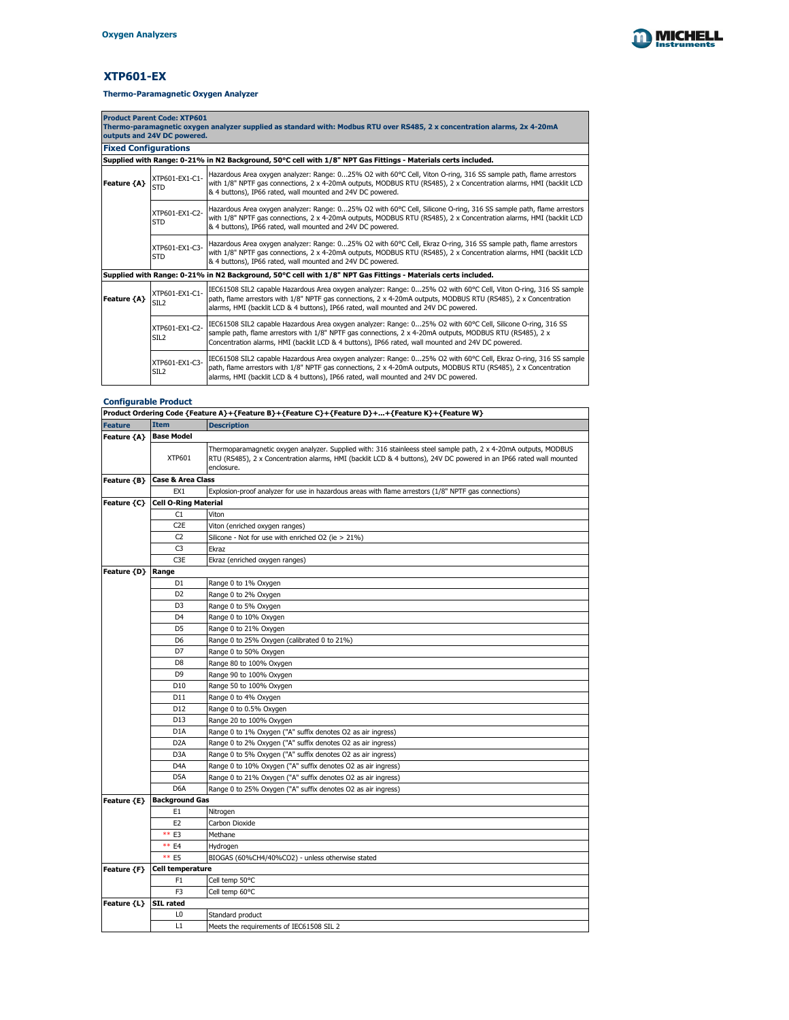

# **XTP601-EX**

| <b>Product Parent Code: XTP601</b><br>Thermo-paramagnetic oxygen analyzer supplied as standard with: Modbus RTU over RS485, 2 x concentration alarms, 2x 4-20mA<br>outputs and 24V DC powered. |                                    |                                                                                                                                                                                                                                                                                                                                  |  |
|------------------------------------------------------------------------------------------------------------------------------------------------------------------------------------------------|------------------------------------|----------------------------------------------------------------------------------------------------------------------------------------------------------------------------------------------------------------------------------------------------------------------------------------------------------------------------------|--|
| <b>Fixed Configurations</b>                                                                                                                                                                    |                                    |                                                                                                                                                                                                                                                                                                                                  |  |
|                                                                                                                                                                                                |                                    | Supplied with Range: 0-21% in N2 Background, 50°C cell with 1/8" NPT Gas Fittings - Materials certs included.                                                                                                                                                                                                                    |  |
| XTP601-EX1-C1-<br><b>Feature {A}</b><br><b>STD</b><br>& 4 buttons), IP66 rated, wall mounted and 24V DC powered.                                                                               |                                    | Hazardous Area oxygen analyzer: Range: 025% O2 with 60°C Cell, Viton O-ring, 316 SS sample path, flame arrestors<br>with 1/8" NPTF gas connections, 2 x 4-20mA outputs, MODBUS RTU (RS485), 2 x Concentration alarms, HMI (backlit LCD                                                                                           |  |
|                                                                                                                                                                                                | XTP601-EX1-C2-<br><b>STD</b>       | Hazardous Area oxygen analyzer: Range: 025% O2 with 60°C Cell, Silicone O-ring, 316 SS sample path, flame arrestors<br>with 1/8" NPTF gas connections, 2 x 4-20mA outputs, MODBUS RTU (RS485), 2 x Concentration alarms, HMI (backlit LCD<br>& 4 buttons), IP66 rated, wall mounted and 24V DC powered.                          |  |
|                                                                                                                                                                                                | XTP601-EX1-C3-<br><b>STD</b>       | Hazardous Area oxygen analyzer: Range: 025% O2 with 60°C Cell, Ekraz O-ring, 316 SS sample path, flame arrestors<br>with 1/8" NPTF gas connections, 2 x 4-20mA outputs, MODBUS RTU (RS485), 2 x Concentration alarms, HMI (backlit LCD<br>& 4 buttons), IP66 rated, wall mounted and 24V DC powered.                             |  |
|                                                                                                                                                                                                |                                    | Supplied with Range: 0-21% in N2 Background, 50°C cell with 1/8" NPT Gas Fittings - Materials certs included.                                                                                                                                                                                                                    |  |
| <b>Feature {A}</b>                                                                                                                                                                             | XTP601-EX1-C1-<br>SIL <sub>2</sub> | IEC61508 SIL2 capable Hazardous Area oxygen analyzer: Range: 025% O2 with 60°C Cell, Viton O-ring, 316 SS sample<br>path, flame arrestors with 1/8" NPTF gas connections, 2 x 4-20mA outputs, MODBUS RTU (RS485), 2 x Concentration<br>alarms, HMI (backlit LCD & 4 buttons), IP66 rated, wall mounted and 24V DC powered.       |  |
|                                                                                                                                                                                                | XTP601-EX1-C2-<br>SIL <sub>2</sub> | IEC61508 SIL2 capable Hazardous Area oxygen analyzer: Range: 025% O2 with 60°C Cell, Silicone O-ring, 316 SS<br>sample path, flame arrestors with $1/8$ " NPTF gas connections, 2 x 4-20mA outputs, MODBUS RTU (RS485), 2 x<br>Concentration alarms, HMI (backlit LCD & 4 buttons), IP66 rated, wall mounted and 24V DC powered. |  |
|                                                                                                                                                                                                | XTP601-EX1-C3-<br>SIL <sub>2</sub> | IEC61508 SIL2 capable Hazardous Area oxygen analyzer: Range: 025% O2 with 60°C Cell, Ekraz O-ring, 316 SS sample<br>path, flame arrestors with 1/8" NPTF gas connections, 2 x 4-20mA outputs, MODBUS RTU (RS485), 2 x Concentration<br>alarms, HMI (backlit LCD & 4 buttons), IP66 rated, wall mounted and 24V DC powered.       |  |

|                          |                              | Product Ordering Code {Feature A}+{Feature B}+{Feature C}+{Feature D}++{Feature K}+{Feature W}                                                                                                                                                      |  |  |
|--------------------------|------------------------------|-----------------------------------------------------------------------------------------------------------------------------------------------------------------------------------------------------------------------------------------------------|--|--|
| <b>Feature</b>           | <b>Item</b>                  | <b>Description</b>                                                                                                                                                                                                                                  |  |  |
| Feature {A}   Base Model |                              |                                                                                                                                                                                                                                                     |  |  |
|                          | XTP601                       | Thermoparamagnetic oxygen analyzer. Supplied with: 316 stainleess steel sample path, 2 x 4-20mA outputs, MODBUS<br>RTU (RS485), 2 x Concentration alarms, HMI (backlit LCD & 4 buttons), 24V DC powered in an IP66 rated wall mounted<br>enclosure. |  |  |
| Feature {B}              | <b>Case &amp; Area Class</b> |                                                                                                                                                                                                                                                     |  |  |
|                          | EX1                          | Explosion-proof analyzer for use in hazardous areas with flame arrestors (1/8" NPTF gas connections)                                                                                                                                                |  |  |
| Feature {C}              | <b>Cell O-Ring Material</b>  |                                                                                                                                                                                                                                                     |  |  |
|                          | C1                           | Viton                                                                                                                                                                                                                                               |  |  |
|                          | C <sub>2</sub> E             | Viton (enriched oxygen ranges)                                                                                                                                                                                                                      |  |  |
|                          | C <sub>2</sub>               | Silicone - Not for use with enriched O2 (ie $> 21\%$ )                                                                                                                                                                                              |  |  |
|                          | C <sub>3</sub>               | <b>Ekraz</b>                                                                                                                                                                                                                                        |  |  |
|                          | C <sub>3</sub> E             | Ekraz (enriched oxygen ranges)                                                                                                                                                                                                                      |  |  |
| Feature {D}   Range      |                              |                                                                                                                                                                                                                                                     |  |  |
|                          | D <sub>1</sub>               | Range 0 to 1% Oxygen                                                                                                                                                                                                                                |  |  |
|                          | D <sub>2</sub>               | Range 0 to 2% Oxygen                                                                                                                                                                                                                                |  |  |
|                          | D <sub>3</sub>               | Range 0 to 5% Oxygen                                                                                                                                                                                                                                |  |  |
|                          | D4                           | Range 0 to 10% Oxygen                                                                                                                                                                                                                               |  |  |
|                          | D <sub>5</sub>               | Range 0 to 21% Oxygen                                                                                                                                                                                                                               |  |  |
|                          | D <sub>6</sub>               | Range 0 to 25% Oxygen (calibrated 0 to 21%)                                                                                                                                                                                                         |  |  |
|                          | D7                           | Range 0 to 50% Oxygen                                                                                                                                                                                                                               |  |  |
|                          | D <sub>8</sub>               | Range 80 to 100% Oxygen                                                                                                                                                                                                                             |  |  |
|                          | D <sub>9</sub>               | Range 90 to 100% Oxygen                                                                                                                                                                                                                             |  |  |
|                          | D <sub>10</sub>              | Range 50 to 100% Oxygen                                                                                                                                                                                                                             |  |  |
|                          | D <sub>11</sub>              | Range 0 to 4% Oxygen                                                                                                                                                                                                                                |  |  |
|                          | D <sub>12</sub>              | Range 0 to 0.5% Oxygen                                                                                                                                                                                                                              |  |  |
|                          | D13                          | Range 20 to 100% Oxygen                                                                                                                                                                                                                             |  |  |
|                          | D <sub>1</sub> A             | Range 0 to 1% Oxygen ("A" suffix denotes O2 as air ingress)                                                                                                                                                                                         |  |  |
|                          | D <sub>2</sub> A             | Range 0 to 2% Oxygen ("A" suffix denotes O2 as air ingress)                                                                                                                                                                                         |  |  |
|                          | D <sub>3</sub> A             | Range 0 to 5% Oxygen ("A" suffix denotes O2 as air ingress)                                                                                                                                                                                         |  |  |
|                          | D <sub>4</sub> A             | Range 0 to 10% Oxygen ("A" suffix denotes O2 as air ingress)                                                                                                                                                                                        |  |  |
|                          | D <sub>5</sub> A             | Range 0 to 21% Oxygen ("A" suffix denotes O2 as air ingress)                                                                                                                                                                                        |  |  |
|                          | D <sub>6</sub> A             | Range 0 to 25% Oxygen ("A" suffix denotes O2 as air ingress)                                                                                                                                                                                        |  |  |
| Feature {E}              | <b>Background Gas</b>        |                                                                                                                                                                                                                                                     |  |  |
|                          | E1                           | Nitrogen                                                                                                                                                                                                                                            |  |  |
|                          | E <sub>2</sub>               | Carbon Dioxide                                                                                                                                                                                                                                      |  |  |
|                          | ** E3                        | Methane                                                                                                                                                                                                                                             |  |  |
|                          | ** E4                        | Hydrogen                                                                                                                                                                                                                                            |  |  |
|                          | ** E5                        | BIOGAS (60%CH4/40%CO2) - unless otherwise stated                                                                                                                                                                                                    |  |  |
| Feature {F}              | <b>Cell temperature</b>      |                                                                                                                                                                                                                                                     |  |  |
|                          | F <sub>1</sub>               | Cell temp 50°C                                                                                                                                                                                                                                      |  |  |
|                          | F <sub>3</sub>               | Cell temp 60°C                                                                                                                                                                                                                                      |  |  |
| Feature {L}   SIL rated  |                              |                                                                                                                                                                                                                                                     |  |  |
|                          | L <sub>0</sub>               | Standard product                                                                                                                                                                                                                                    |  |  |
|                          | L1                           | Meets the requirements of IEC61508 SIL 2                                                                                                                                                                                                            |  |  |

## **Thermo-Paramagnetic Oxygen Analyzer**

## **Configurable Product**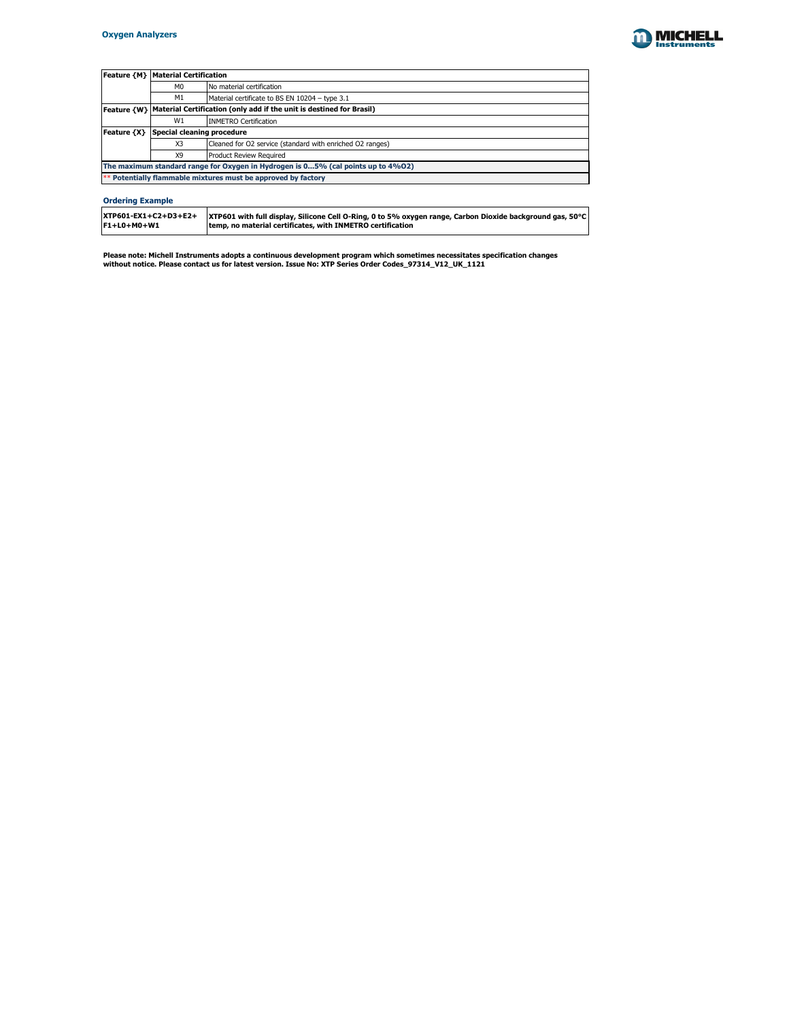

|                                                                                  | <b>Feature {M}   Material Certification</b>                                        |                           |  |  |
|----------------------------------------------------------------------------------|------------------------------------------------------------------------------------|---------------------------|--|--|
|                                                                                  | M <sub>0</sub>                                                                     | No material certification |  |  |
|                                                                                  | M1<br>Material certificate to BS EN 10204 - type 3.1                               |                           |  |  |
|                                                                                  | Feature {W}   Material Certification (only add if the unit is destined for Brasil) |                           |  |  |
|                                                                                  | <b>INMETRO Certification</b><br>W1                                                 |                           |  |  |
| <b>Feature {X}</b>                                                               | Special cleaning procedure                                                         |                           |  |  |
|                                                                                  | X3<br>Cleaned for O2 service (standard with enriched O2 ranges)                    |                           |  |  |
|                                                                                  | X9<br><b>Product Review Required</b>                                               |                           |  |  |
| The maximum standard range for Oxygen in Hydrogen is 05% (cal points up to 4%02) |                                                                                    |                           |  |  |
|                                                                                  | ** Potentially flammable mixtures must be approved by factory                      |                           |  |  |

**Please note: Michell Instruments adopts a continuous development program which sometimes necessitates specification changes without notice. Please contact us for latest version. Issue No: XTP Series Order Codes\_97314\_V12\_UK\_1121**

| $ {\rm XTP601\text{-}EX1\text{+}C2\text{+}D3\text{+}E2\text{+}} $ | <b>XTP601</b> with full display, Silicone Cell O-Ring, 0 to 5% oxygen range, Carbon Dioxide background gas, 50 $^{\circ}$ C |
|-------------------------------------------------------------------|-----------------------------------------------------------------------------------------------------------------------------|
| $ F1+LO+MO+W1 $                                                   | temp, no material certificates, with INMETRO certification                                                                  |
|                                                                   |                                                                                                                             |